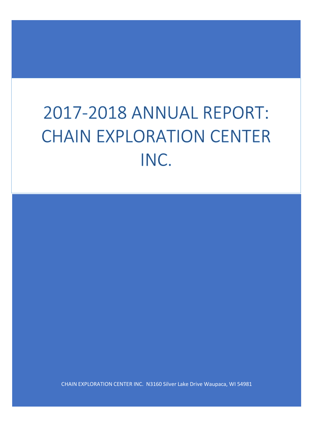# 2017-2018 ANNUAL REPORT: **CHAIN EXPLORATION CENTER** INC.

CHAIN EXPLORATION CENTER INC. N3160 Silver Lake Drive Waupaca, WI 54981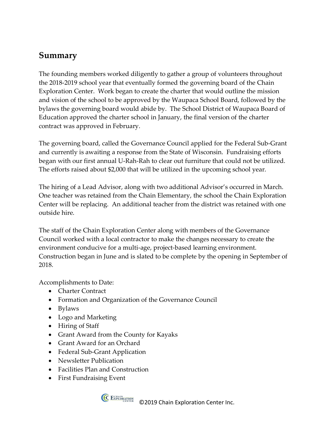## **Summary**

The founding members worked diligently to gather a group of volunteers throughout the 2018-2019 school year that eventually formed the governing board of the Chain Exploration Center. Work began to create the charter that would outline the mission and vision of the school to be approved by the Waupaca School Board, followed by the bylaws the governing board would abide by. The School District of Waupaca Board of Education approved the charter school in January, the final version of the charter contract was approved in February.

The governing board, called the Governance Council applied for the Federal Sub-Grant and currently is awaiting a response from the State of Wisconsin. Fundraising efforts began with our first annual U-Rah-Rah to clear out furniture that could not be utilized. The efforts raised about \$2,000 that will be utilized in the upcoming school year.

The hiring of a Lead Advisor, along with two additional Advisor's occurred in March. One teacher was retained from the Chain Elementary, the school the Chain Exploration Center will be replacing. An additional teacher from the district was retained with one outside hire.

The staff of the Chain Exploration Center along with members of the Governance Council worked with a local contractor to make the changes necessary to create the environment conducive for a multi-age, project-based learning environment. Construction began in June and is slated to be complete by the opening in September of 2018.

Accomplishments to Date:

- Charter Contract
- Formation and Organization of the Governance Council
- Bylaws
- Logo and Marketing
- Hiring of Staff
- Grant Award from the County for Kayaks
- Grant Award for an Orchard
- Federal Sub-Grant Application
- Newsletter Publication
- Facilities Plan and Construction
- First Fundraising Event



©2019 Chain Exploration Center Inc.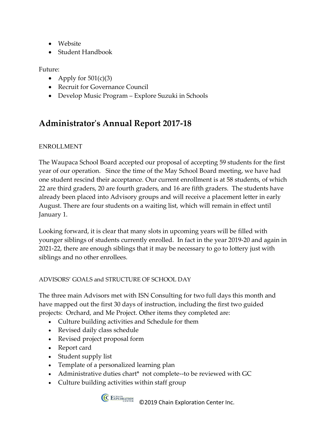- Website
- Student Handbook

Future:

- Apply for  $501(c)(3)$
- Recruit for Governance Council
- Develop Music Program Explore Suzuki in Schools

# **Administrator's Annual Report 2017-18**

#### ENROLLMENT

The Waupaca School Board accepted our proposal of accepting 59 students for the first year of our operation. Since the time of the May School Board meeting, we have had one student rescind their acceptance. Our current enrollment is at 58 students, of which 22 are third graders, 20 are fourth graders, and 16 are fifth graders. The students have already been placed into Advisory groups and will receive a placement letter in early August. There are four students on a waiting list, which will remain in effect until January 1.

Looking forward, it is clear that many slots in upcoming years will be filled with younger siblings of students currently enrolled. In fact in the year 2019-20 and again in 2021-22, there are enough siblings that it may be necessary to go to lottery just with siblings and no other enrollees.

#### ADVISORS' GOALS and STRUCTURE OF SCHOOL DAY

The three main Advisors met with ISN Consulting for two full days this month and have mapped out the first 30 days of instruction, including the first two guided projects: Orchard, and Me Project. Other items they completed are:

- Culture building activities and Schedule for them
- Revised daily class schedule
- Revised project proposal form
- Report card
- Student supply list
- Template of a personalized learning plan
- Administrative duties chart\* not complete--to be reviewed with GC
- Culture building activities within staff group



©2019 Chain Exploration Center Inc.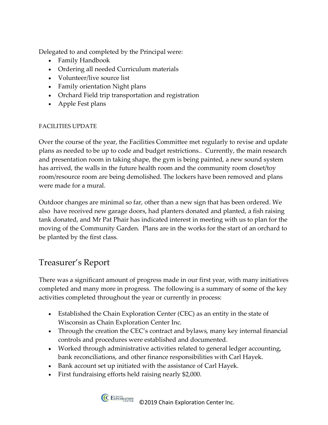Delegated to and completed by the Principal were:

- Family Handbook
- Ordering all needed Curriculum materials
- Volunteer/live source list
- Family orientation Night plans
- Orchard Field trip transportation and registration
- Apple Fest plans

#### FACILITIES UPDATE

Over the course of the year, the Facilities Committee met regularly to revise and update plans as needed to be up to code and budget restrictions.. Currently, the main research and presentation room in taking shape, the gym is being painted, a new sound system has arrived, the walls in the future health room and the community room closet/toy room/resource room are being demolished. The lockers have been removed and plans were made for a mural.

Outdoor changes are minimal so far, other than a new sign that has been ordered. We also have received new garage doors, had planters donated and planted, a fish raising tank donated, and Mr Pat Phair has indicated interest in meeting with us to plan for the moving of the Community Garden. Plans are in the works for the start of an orchard to be planted by the first class.

### Treasurer's Report

There was a significant amount of progress made in our first year, with many initiatives completed and many more in progress. The following is a summary of some of the key activities completed throughout the year or currently in process:

- Established the Chain Exploration Center (CEC) as an entity in the state of Wisconsin as Chain Exploration Center Inc.
- Through the creation the CEC's contract and bylaws, many key internal financial controls and procedures were established and documented.
- Worked through administrative activities related to general ledger accounting, bank reconciliations, and other finance responsibilities with Carl Hayek.
- Bank account set up initiated with the assistance of Carl Hayek.
- First fundraising efforts held raising nearly \$2,000.